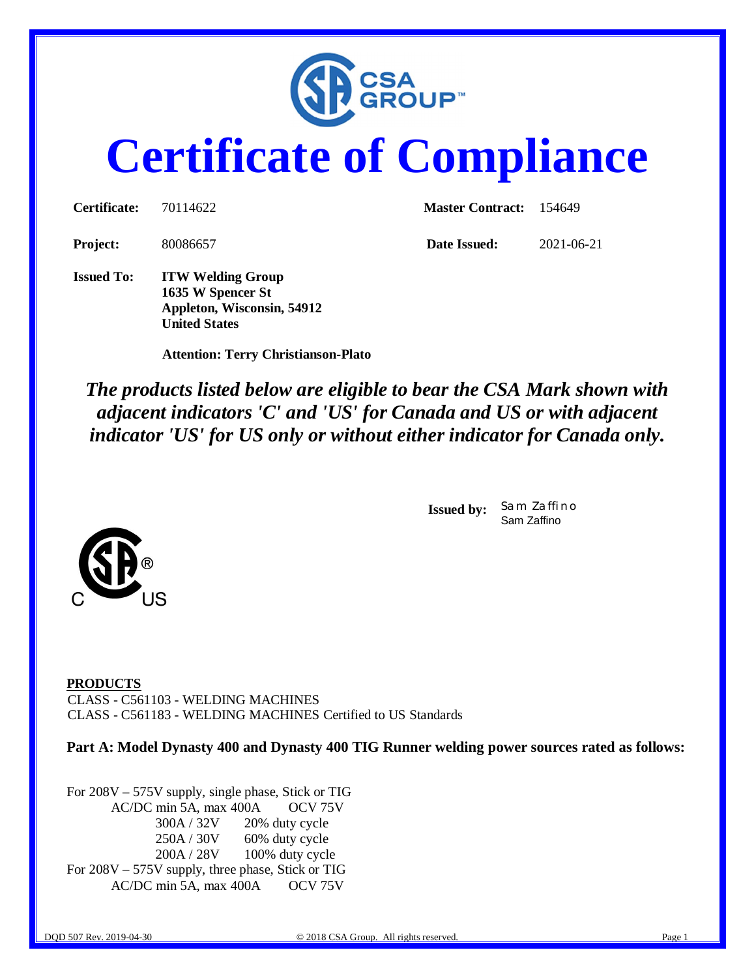

# **Certificate of Compliance**

| <b>Certificate:</b> | 70114622                                                                    | <b>Master Contract:</b> 154649 |            |  |
|---------------------|-----------------------------------------------------------------------------|--------------------------------|------------|--|
| <b>Project:</b>     | 80086657                                                                    | Date Issued:                   | 2021-06-21 |  |
| <b>Issued To:</b>   | <b>ITW Welding Group</b><br>1635 W Spencer St<br>Appleton, Wisconsin, 54912 |                                |            |  |

 **Attention: Terry Christianson-Plato**

**United States**

*The products listed below are eligible to bear the CSA Mark shown with adjacent indicators 'C' and 'US' for Canada and US or with adjacent indicator 'US' for US only or without either indicator for Canada only.*

> **Issued by:** *Sam Zaffino* Sam Zaffino





**PRODUCTS** CLASS - C561103 - WELDING MACHINES CLASS - C561183 - WELDING MACHINES Certified to US Standards

**Part A: Model Dynasty 400 and Dynasty 400 TIG Runner welding power sources rated as follows:**

For 208V – 575V supply, single phase, Stick or TIG AC/DC min 5A, max 400A OCV 75V 300A / 32V 20% duty cycle 250A / 30V 60% duty cycle 200A / 28V 100% duty cycle For 208V – 575V supply, three phase, Stick or TIG AC/DC min 5A, max 400A OCV 75V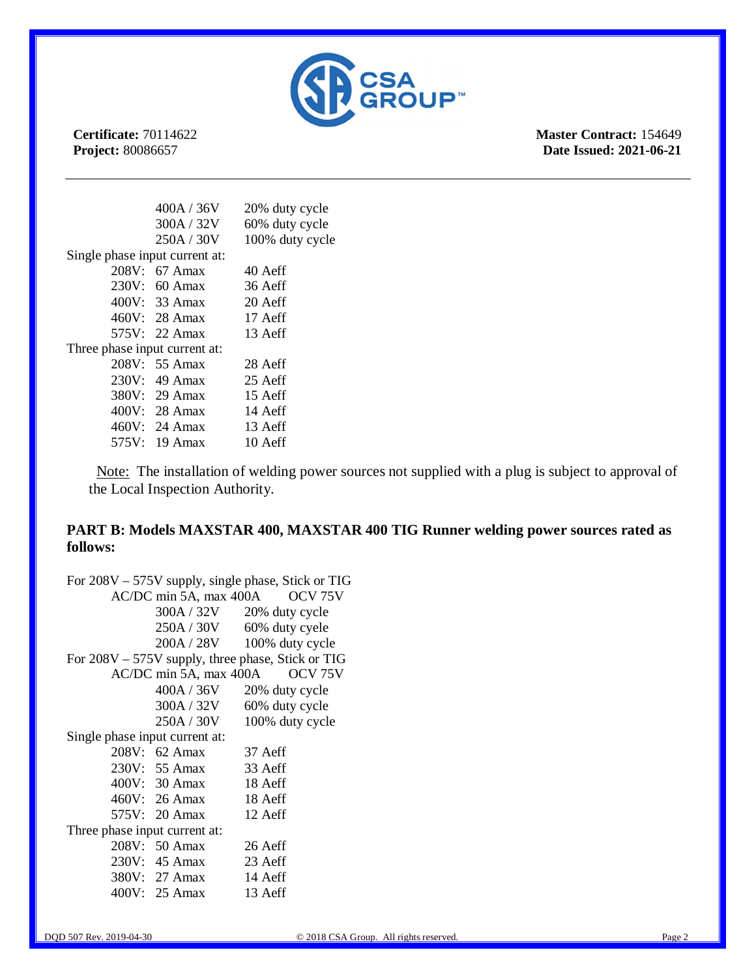

**Master Contract:** 154649 **Date Issued: 2021-06-21**

|                                | 400A / 36V    | 20% duty cycle  |
|--------------------------------|---------------|-----------------|
|                                | 300A / 32V    | 60% duty cycle  |
|                                | 250A / 30V    | 100% duty cycle |
| Single phase input current at: |               |                 |
|                                | 208V: 67 Amax | 40 Aeff         |
|                                | 230V: 60 Amax | 36 Aeff         |
|                                | 400V: 33 Amax | 20 Aeff         |
|                                | 460V: 28 Amax | 17 Aeff         |
|                                | 575V: 22 Amax | 13 Aeff         |
| Three phase input current at:  |               |                 |
|                                | 208V: 55 Amax | 28 Aeff         |
|                                | 230V: 49 Amax | 25 Aeff         |
|                                | 380V: 29 Amax | 15 Aeff         |
|                                | 400V: 28 Amax | 14 Aeff         |
|                                | 460V: 24 Amax | 13 Aeff         |
|                                | 575V: 19 Amax | 10 Aeff         |

 Note: The installation of welding power sources not supplied with a plug is subject to approval of the Local Inspection Authority.

### **PART B: Models MAXSTAR 400, MAXSTAR 400 TIG Runner welding power sources rated as follows:**

|                                |                        | For 208V – 575V supply, single phase, Stick or TIG  |
|--------------------------------|------------------------|-----------------------------------------------------|
|                                | AC/DC min 5A, max 400A | OCV <sub>75V</sub>                                  |
|                                |                        | 300A / 32V 20% duty cycle                           |
|                                | 250A / 30V             | 60% duty cyele                                      |
|                                | 200A / 28V             | 100% duty cycle                                     |
|                                |                        | For $208V - 575V$ supply, three phase, Stick or TIG |
|                                | AC/DC min 5A, max 400A | OCV <sub>75V</sub>                                  |
|                                | 400A / 36V             | 20% duty cycle                                      |
|                                | 300A / 32V             | 60% duty cycle                                      |
|                                | 250A / 30V             | 100% duty cycle                                     |
| Single phase input current at: |                        |                                                     |
|                                | 208V: 62 Amax          | 37 Aeff                                             |
|                                | 230V: 55 Amax 33 Aeff  |                                                     |
|                                | 400V: 30 Amax 18 Aeff  |                                                     |
|                                | 460V: 26 Amax 18 Aeff  |                                                     |
|                                | 575V: 20 Amax          | 12 Aeff                                             |
| Three phase input current at:  |                        |                                                     |
|                                | 208V: 50 Amax          | 26 Aeff                                             |
|                                | 230V: 45 Amax          | 23 Aeff                                             |
|                                | 380V: 27 Amax          | 14 Aeff                                             |
|                                | 400V: 25 Amax          | 13 Aeff                                             |
|                                |                        |                                                     |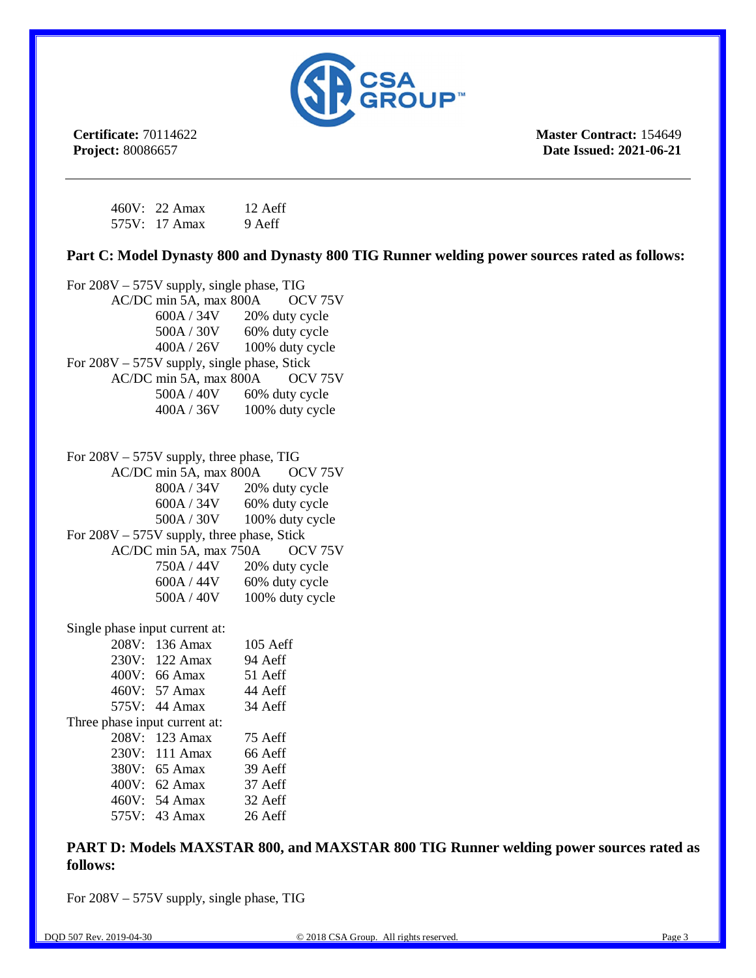

**Master Contract:** 154649 **Date Issued: 2021-06-21**

| 460V: 22 Amax | 12 Aeff |
|---------------|---------|
| 575V: 17 Amax | 9 Aeff  |

**Part C: Model Dynasty 800 and Dynasty 800 TIG Runner welding power sources rated as follows:**

|                                              | For 208V - 575V supply, single phase, TIG   |                             |  |  |
|----------------------------------------------|---------------------------------------------|-----------------------------|--|--|
| AC/DC min 5A, max 800A<br>OCV <sub>75V</sub> |                                             |                             |  |  |
|                                              |                                             | 600A / 34V 20% duty cycle   |  |  |
|                                              |                                             | $500A / 30V$ 60% duty cycle |  |  |
|                                              |                                             | 400A / 26V 100% duty cycle  |  |  |
|                                              | For 208V - 575V supply, single phase, Stick |                             |  |  |
|                                              | AC/DC min 5A, max 800A                      | OCV <sub>75V</sub>          |  |  |
|                                              | 500A / 40V                                  | 60% duty cycle              |  |  |
|                                              | 400A / 36V                                  | 100% duty cycle             |  |  |
|                                              |                                             |                             |  |  |
|                                              | For $208V - 575V$ supply, three phase, TIG  |                             |  |  |
|                                              | AC/DC min 5A, max 800A                      | OCV <sub>75V</sub>          |  |  |
|                                              |                                             | 800A / 34V 20% duty cycle   |  |  |
|                                              |                                             | $600A / 34V$ 60% duty cycle |  |  |
|                                              |                                             | 500A / 30V 100% duty cycle  |  |  |
|                                              | For 208V - 575V supply, three phase, Stick  |                             |  |  |
|                                              | AC/DC min 5A, max 750A                      | OCV <sub>75</sub> V         |  |  |
|                                              | 750A / 44V                                  | 20% duty cycle              |  |  |
|                                              | 600A / 44V                                  | 60% duty cycle              |  |  |
|                                              | 500A / 40V                                  | 100% duty cycle             |  |  |
| Single phase input current at:               |                                             |                             |  |  |
|                                              | 208V: 136 Amax                              | 105 Aeff                    |  |  |
|                                              | 230V: 122 Amax                              | 94 Aeff                     |  |  |
|                                              | 400V: 66 Amax                               | 51 Aeff                     |  |  |
|                                              | 460V: 57 Amax                               | 44 Aeff                     |  |  |
|                                              | 575V: 44 Amax                               | 34 Aeff                     |  |  |
| Three phase input current at:                |                                             |                             |  |  |
|                                              | 208V: 123 Amax                              | 75 Aeff                     |  |  |
|                                              | 230V: 111 Amax                              | 66 Aeff                     |  |  |
|                                              | 380V: 65 Amax                               | 39 Aeff                     |  |  |
|                                              | 400V: 62 Amax                               | 37 Aeff                     |  |  |
|                                              | 460V: 54 Amax                               | 32 Aeff                     |  |  |
| 575V:                                        | 43 Amax                                     | 26 Aeff                     |  |  |

**PART D: Models MAXSTAR 800, and MAXSTAR 800 TIG Runner welding power sources rated as follows:**

For 208V – 575V supply, single phase, TIG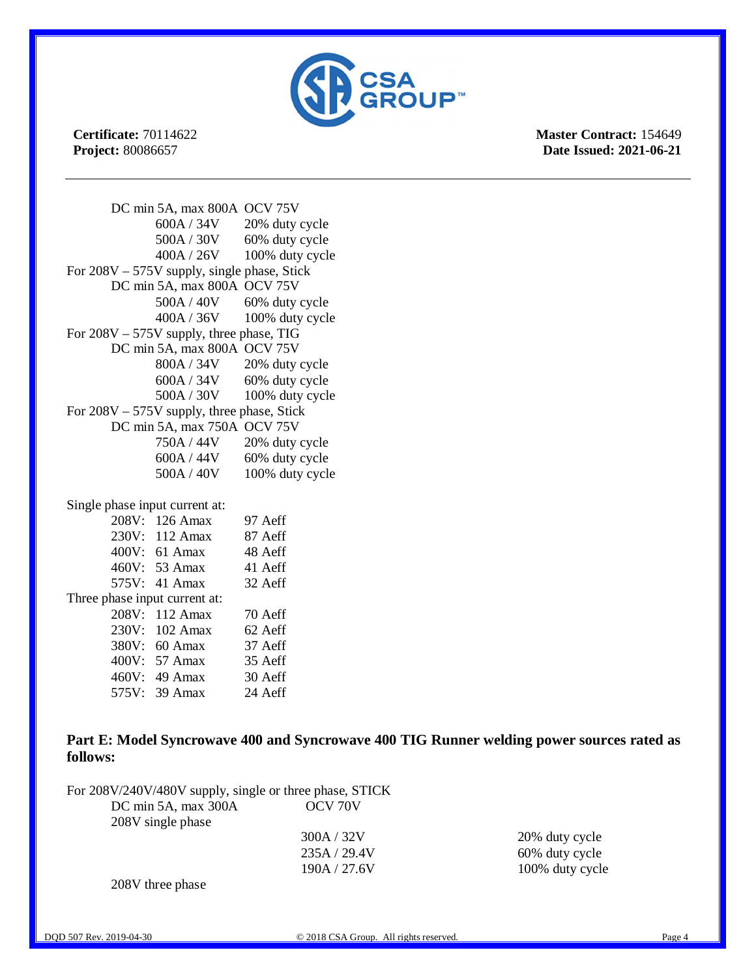

**Master Contract:** 154649 **Date Issued: 2021-06-21**

DC min 5A, max 800A OCV 75V 600A / 34V 20% duty cycle 500A / 30V 60% duty cycle 400A / 26V 100% duty cycle For 208V – 575V supply, single phase, Stick DC min 5A, max 800A OCV 75V  $500A / 40V$  60% duty cycle 400A / 36V 100% duty cycle For 208V – 575V supply, three phase, TIG DC min 5A, max 800A OCV 75V 800A / 34V 20% duty cycle  $600A / 34V$  60% duty cycle 500A / 30V 100% duty cycle For 208V – 575V supply, three phase, Stick DC min 5A, max 750A OCV 75V 750A / 44V 20% duty cycle  $600A / 44V$  60% duty cycle 500A / 40V 100% duty cycle Single phase input current at: 208V: 126 Amax 97 Aeff

|                               | 208V: 126 Amax | 97 Aeff |
|-------------------------------|----------------|---------|
|                               | 230V: 112 Amax | 87 Aeff |
|                               | 400V: 61 Amax  | 48 Aeff |
|                               | 460V: 53 Amax  | 41 Aeff |
|                               | 575V: 41 Amax  | 32 Aeff |
| Three phase input current at: |                |         |
|                               | 208V: 112 Amax | 70 Aeff |
|                               | 230V: 102 Amax | 62 Aeff |
|                               | 380V: 60 Amax  | 37 Aeff |
|                               | 400V: 57 Amax  | 35 Aeff |
|                               | 460V: 49 Amax  | 30 Aeff |
|                               | 575V: 39 Amax  | 24 Aeff |
|                               |                |         |

**Part E: Model Syncrowave 400 and Syncrowave 400 TIG Runner welding power sources rated as follows:**

For 208V/240V/480V supply, single or three phase, STICK<br>DC min 5A max 300A CCV 70V  $DC \text{ min } 5A$ , max  $300A$ 

| 208V single phase |              |
|-------------------|--------------|
|                   | 300A / 32V   |
|                   | 235A / 29.4V |

20% duty cycle 60% duty cycle 190A / 27.6V 100% duty cycle

208V three phase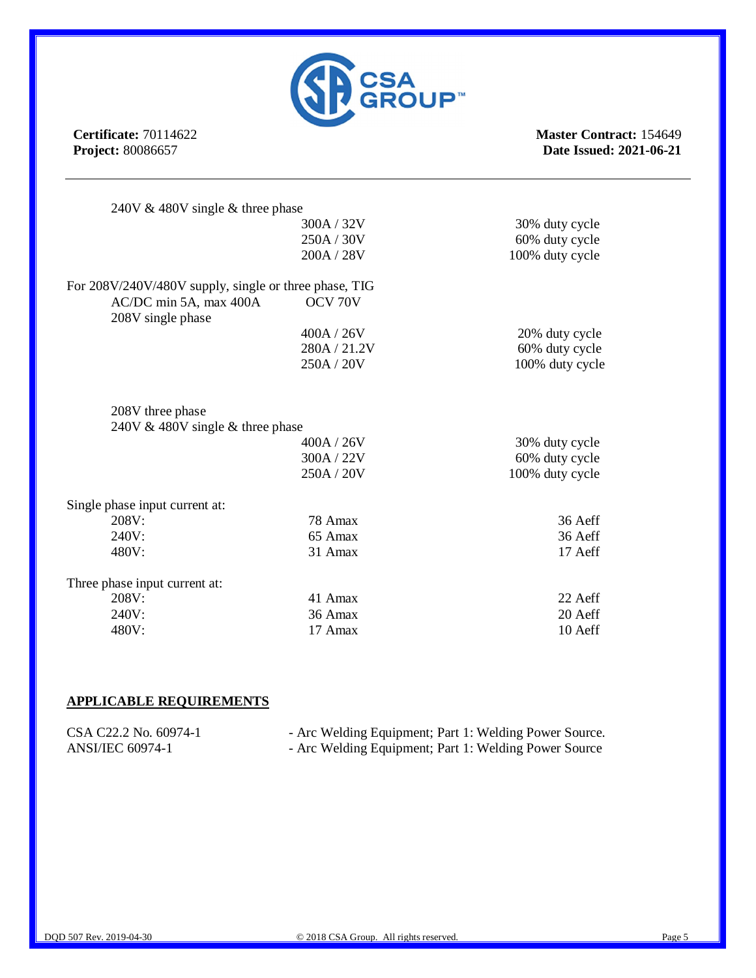

**Master Contract:** 154649 **Date Issued: 2021-06-21**

| 240V $\&$ 480V single $\&$ three phase                |              |                 |
|-------------------------------------------------------|--------------|-----------------|
|                                                       | 300A / 32V   | 30% duty cycle  |
|                                                       | 250A / 30V   | 60% duty cycle  |
|                                                       | 200A / 28V   | 100% duty cycle |
| For 208V/240V/480V supply, single or three phase, TIG |              |                 |
| AC/DC min 5A, max 400A<br>208V single phase           | OCV 70V      |                 |
|                                                       | 400A / 26V   | 20% duty cycle  |
|                                                       | 280A / 21.2V | 60% duty cycle  |
|                                                       | 250A / 20V   | 100% duty cycle |
| 208V three phase                                      |              |                 |
| 240V $\&$ 480V single $\&$ three phase                |              |                 |
|                                                       | 400A / 26V   | 30% duty cycle  |
|                                                       | 300A / 22V   | 60% duty cycle  |
|                                                       | 250A / 20V   | 100% duty cycle |
| Single phase input current at:                        |              |                 |
| 208V:                                                 | 78 Amax      | 36 Aeff         |
| 240V:                                                 | 65 Amax      | 36 Aeff         |
| 480V:                                                 | 31 Amax      | 17 Aeff         |
| Three phase input current at:                         |              |                 |
| 208V:                                                 | 41 Amax      | 22 Aeff         |
| 240V:                                                 | 36 Amax      | 20 Aeff         |
| 480V:                                                 | 17 Amax      | 10 Aeff         |

#### **APPLICABLE REQUIREMENTS**

| CSA C22.2 No. 60974-1 | - Arc Welding Equipment; Part 1: Welding Power Source. |
|-----------------------|--------------------------------------------------------|
| ANSI/IEC 60974-1      | - Arc Welding Equipment; Part 1: Welding Power Source  |